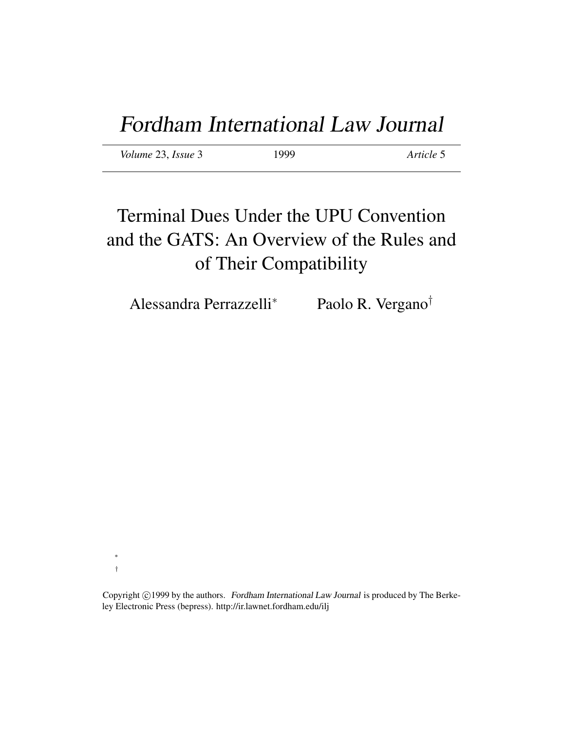*Volume* 23, *Issue* 3 1999 *Article* 5

# Terminal Dues Under the UPU Convention and the GATS: An Overview of the Rules and of Their Compatibility

Alessandra Perrazzelli<sup>∗</sup> Paolo R. Vergano†

∗ †

Copyright ©1999 by the authors. Fordham International Law Journal is produced by The Berkeley Electronic Press (bepress). http://ir.lawnet.fordham.edu/ilj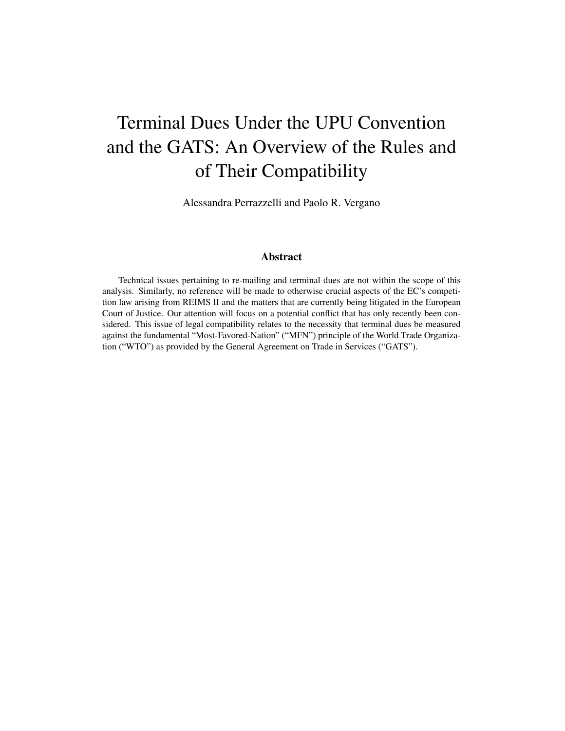# Terminal Dues Under the UPU Convention and the GATS: An Overview of the Rules and of Their Compatibility

Alessandra Perrazzelli and Paolo R. Vergano

#### Abstract

Technical issues pertaining to re-mailing and terminal dues are not within the scope of this analysis. Similarly, no reference will be made to otherwise crucial aspects of the EC's competition law arising from REIMS II and the matters that are currently being litigated in the European Court of Justice. Our attention will focus on a potential conflict that has only recently been considered. This issue of legal compatibility relates to the necessity that terminal dues be measured against the fundamental "Most-Favored-Nation" ("MFN") principle of the World Trade Organization ("WTO") as provided by the General Agreement on Trade in Services ("GATS").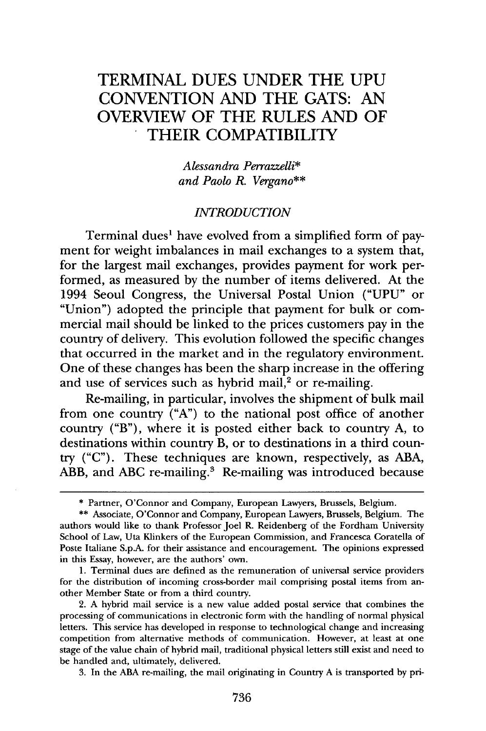## TERMINAL **DUES UNDER** THE **UPU CONVENTION AND** THE **GATS: AN** OVERVIEW OF THE **RULES AND** OF THEIR COMPATIBILITY

*Alessandra Perrazzelli\* and Paolo R. Vergano\*\**

#### *INTRODUCTION*

Terminal dues' have evolved from a simplified form of payment for weight imbalances in mail exchanges to a system that, for the largest mail exchanges, provides payment for work performed, as measured **by** the number of items delivered. At the 1994 Seoul Congress, the Universal Postal Union **("UPU"** or "Union") adopted the principle that payment for bulk or commercial mail should be linked to the prices customers pay in the country of delivery. This evolution followed the specific changes that occurred in the market and in the regulatory environment. One of these changes has been the sharp increase in the offering and use of services such as hybrid mail, $2$  or re-mailing.

Re-mailing, in particular, involves the shipment of bulk mail from one country **("A")** to the national post office of another country ("B"), where it is posted either back to country **A,** to destinations within country B, or to destinations in a third country **("C").** These techniques are known, respectively, as **ABA,** ABB, and ABC re-mailing.<sup>3</sup> Re-mailing was introduced because

**1.** Terminal dues are defined as the remuneration of universal service providers for the distribution of incoming cross-border mail comprising postal items from another Member State or from a third country.

2. **A** hybrid mail service is a new value added postal service that combines the processing of communications in electronic form with the handling of normal physical letters. This service has developed in response to technological change and increasing competition from alternative methods of communication. However, at least at one stage of the value chain of hybrid mail, traditional physical letters still exist and need to be handled and, ultimately, delivered.

**3.** In the **ABA** re-mailing, the mail originating in Country **A** is transported **by** pri-

**<sup>\*</sup>** Partner, O'Connor and Company, European Lawyers, Brussels, Belgium.

**<sup>\*\*</sup>** Associate, O'Connor and Company, European Lawyers, Brussels, Belgium. The authors would like to thank Professor Joel R. Reidenberg of the Fordham University School of Law, Uta Klinkers of the European Commission, and Francesca Coratella of Poste Italiane **S.p.A.** for their assistance and encouragement. The opinions expressed in this Essay, however, are the authors' own.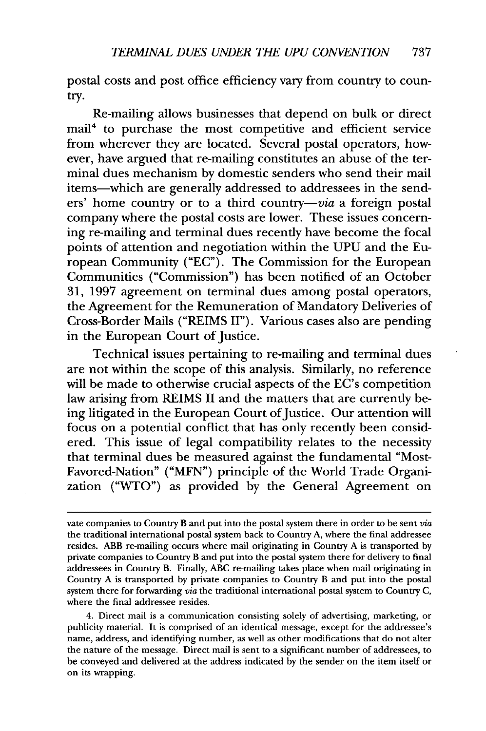postal costs and post office efficiency vary from country to country.

Re-mailing allows businesses that depend on bulk or direct mail4 to purchase the most competitive and efficient service from wherever they are located. Several postal operators, however, have argued that re-mailing constitutes an abuse of the terminal dues mechanism by domestic senders who send their mail items-which are generally addressed to addressees in the senders' home country or to a third country-via a foreign postal company where the postal costs are lower. These issues concerning re-mailing and terminal dues recently have become the focal points of attention and negotiation within the UPU and the European Community ("EC"). The Commission for the European Communities ("Commission") has been notified of an October 31, 1997 agreement on terminal dues among postal operators, the Agreement for the Remuneration of Mandatory Deliveries of Cross-Border Mails ("REIMS II"). Various cases also are pending in the European Court of Justice.

Technical issues pertaining to re-mailing and terminal dues are not within the scope of this analysis. Similarly, no reference will be made to otherwise crucial aspects of the EC's competition law arising from REIMS II and the matters that are currently being litigated in the European Court of Justice. Our attention will focus on a potential conflict that has only recently been considered. This issue of legal compatibility relates to the necessity that terminal dues be measured against the fundamental "Most-Favored-Nation" ("MFN") principle of the World Trade Organization ("WTO") as provided by the General Agreement on

vate companies to Country B and put into the postal system there in order to be sent *via* the traditional international postal system back to Country A, where the final addressee resides. ABB re-mailing occurs where mail originating in Country A is transported by private companies to Country B and put into the postal system there for delivery to final addressees in Country B. Finally, ABC re-mailing takes place when mail originating in Country A is transported by private companies to Country B and put into the postal system there for forwarding *via* the traditional international postal system to Country C, where the final addressee resides.

<sup>4.</sup> Direct mail is a communication consisting solely of advertising, marketing, or publicity material. It is comprised of an identical message, except for the addressee's name, address, and identifying number, as well as other modifications that do not alter the nature of the message. Direct mail is sent to a significant number of addressees, to be conveyed and delivered at the address indicated by the sender on the item itself or on its wrapping.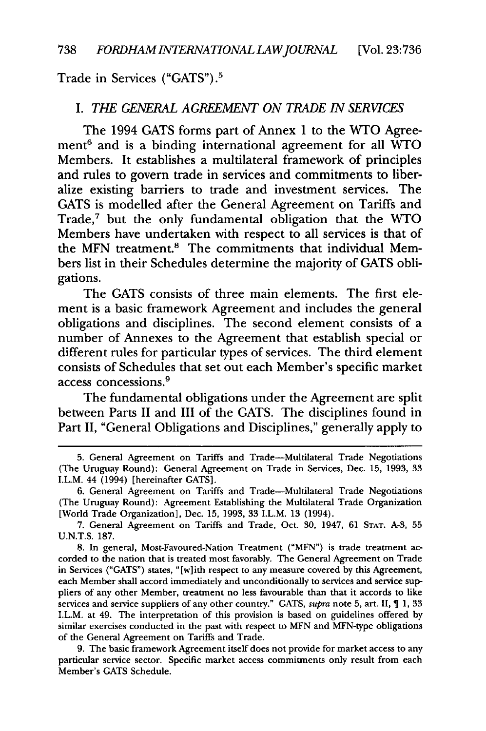Trade in Services ("GATS") **. 5**

#### *I. THE GENERAL AGREEMENT ON TRADE IN SERVICES*

The 1994 **GATS** forms part of Annex **1** to the WTO Agreement $6$  and is a binding international agreement for all WTO Members. It establishes a multilateral framework of principles and rules to govern trade in services and commitments to liberalize existing barriers to trade and investment services. The **GATS** is modelled after the General Agreement on Tariffs and Trade,7 but the only fundamental obligation that the **WTO** Members have undertaken with respect to all services is that of the MFN treatment.<sup>8</sup> The commitments that individual Members list in their Schedules determine the majority of **GATS** obligations.

The **GATS** consists of three main elements. The first element is a basic framework Agreement and includes the general obligations and disciplines. The second element consists of a number of Annexes to the Agreement that establish special or different rules for particular types of services. The third element consists of Schedules that set out each Member's specific market access concessions.9

The fundamental obligations under the Agreement are split between Parts II and III of the **GATS.** The disciplines found in Part II, "General Obligations and Disciplines," generally apply to

<sup>5.</sup> General Agreement on Tariffs and Trade-Multilateral Trade Negotiations (The Uruguay Round): General Agreement on Trade in Services, Dec. **15, 1993, 33** I.L.M. 44 (1994) [hereinafter **GATS].**

**<sup>6.</sup>** General Agreement on Tariffs and Trade-Multilateral Trade Negotiations (The Uruguay Round): Agreement Establishing the Multilateral Trade Organization [World Trade Organization], Dec. **15, 1993, 33** I.L.M. **13** (1994).

**<sup>7.</sup>** General Agreement on Tariffs and Trade, Oct. **30,** 1947, **61 STAT. A-3, 55 U.N.T.S. 187.**

**<sup>8.</sup>** In general, Most-Favoured-Nation Treatment **("MFN")** is trade treatment accorded to the nation that is treated most favorably. The General Agreement on Trade in Services ("GATS") states, "[w]ith respect to any measure covered **by** this Agreement, each Member shall accord immediately and unconditionally to services and service suppliers of any other Member, treatment no less favourable than that it accords to like services and service suppliers of any other country." GATS, *supra* note **5,** art. II, 1, **33** I.L.M. at 49. The interpretation of this provision is based on guidelines offered by similar exercises conducted in the past with respect to MFN and MFN-type obligations of the General Agreement on Tariffs and Trade.

<sup>9.</sup> The basic framework Agreement itself does not provide for market access to any particular service sector. Specific market access commitments only result from each Member's GATS Schedule.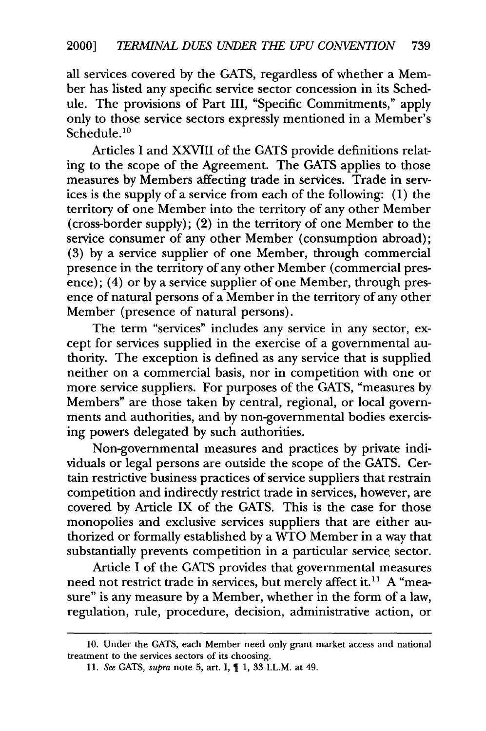all services covered by the GATS, regardless of whether a Member has listed any specific service sector concession in its Schedule. The provisions of Part III, "Specific Commitments," apply only to those service sectors expressly mentioned in a Member's Schedule.<sup>10</sup>

Articles I and XXVIII of the GATS provide definitions relating to the scope of the Agreement. The GATS applies to those measures **by** Members affecting trade in services. Trade in services is the supply of a service from each of the following: (1) the territory of one Member into the territory of any other Member (cross-border supply); (2) in the territory of one Member to the service consumer of any other Member (consumption abroad); (3) by a service supplier of one Member, through commercial presence in the territory of any other Member (commercial presence); (4) or by a service supplier of one Member, through presence of natural persons of a Member in the territory of any other Member (presence of natural persons).

The term "services" includes any service in any sector, except for services supplied in the exercise of a governmental authority. The exception is defined as any service that is supplied neither on a commercial basis, nor in competition with one or more service suppliers. For purposes of the GATS, "measures by Members" are those taken by central, regional, or local governments and authorities, and by non-governmental bodies exercising powers delegated by such authorities.

Non-governmental measures and practices by private individuals or legal persons are outside the scope of the GATS. Certain restrictive business practices of service suppliers that restrain competition and indirectly restrict trade in services, however, are covered by Article IX of the GATS. This is the case for those monopolies and exclusive services suppliers that are either authorized or formally established by a  $\overline{W}TO$  Member in a way that substantially prevents competition in a particular service sector.

Article I of the GATS provides that governmental measures need not restrict trade in services, but merely affect it.<sup>11</sup> A "measure" is any measure by a Member, whether in the form of a law, regulation, rule, procedure, decision, administrative action, or

<sup>10.</sup> Under the GATS, each Member need only grant market access and national treatment to the services sectors of its choosing.

<sup>11.</sup> *See* GATS, *supra* note 5, art. I, 1, 33 I.L.M. at 49.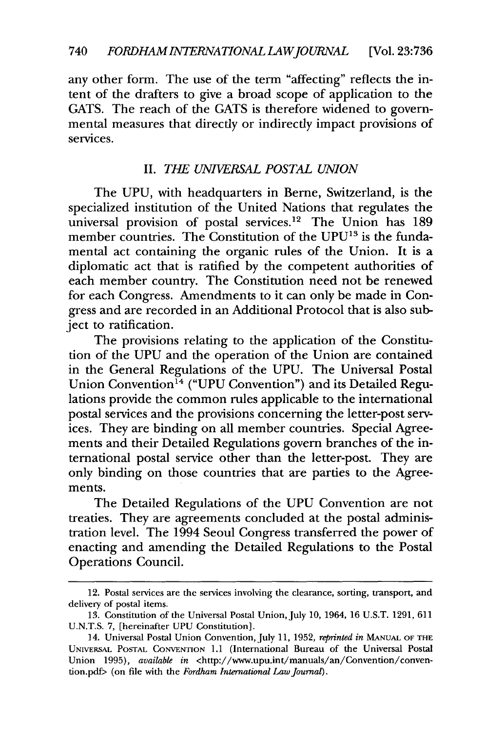any other form. The use of the term "affecting" reflects the intent of the drafters to give a broad scope of application to the GATS. The reach of the GATS is therefore widened to governmental measures that directly or indirectly impact provisions of services.

#### II. *THE UNIVERSAL POSTAL UNION*

The UPU, with headquarters in Berne, Switzerland, is the specialized institution of the United Nations that regulates the universal provision of postal services.<sup>12</sup> The Union has 189 member countries. The Constitution of the UPU<sup>13</sup> is the fundamental act containing the organic rules of the Union. It is a diplomatic act that is ratified by the competent authorities of each member country. The Constitution need not be renewed for each Congress. Amendments to it can only be made in Congress and are recorded in an Additional Protocol that is also subject to ratification.

The provisions relating to the application of the Constitution of the UPU and the operation of the Union are contained in the General Regulations of the UPU. The Universal Postal Union Convention<sup>14</sup> ("UPU Convention") and its Detailed Regulations provide the common rules applicable to the international postal services and the provisions concerning the letter-post services. They are binding on all member countries. Special Agreements and their Detailed Regulations govern branches of the international postal service other than the letter-post. They are only binding on those countries that are parties to the Agreements.

The Detailed Regulations of the UPU Convention are not treaties. They are agreements concluded at the postal administration level. The 1994 Seoul Congress transferred the power of enacting and amending the Detailed Regulations to the Postal Operations Council.

<sup>12.</sup> Postal services are the services involving the clearance, sorting, transport, and delivery of postal items.

<sup>13.</sup> Constitution of the Universal Postal Union, July 10, 1964, 16 U.S.T. 1291, 611 U.N.T.S. 7, [hereinafter UPU Constitution].

<sup>14.</sup> Universal Postal Union Convention, July 11, 1952, *reprinted in* MANUAL OF THE UNIVERSAL POSTAL CONVENTION 1.1 (International Bureau of the Universal Postal Union 1995), *available in <http://www.upu.int/manuals/an/Convention/conven*tion.pdf> (on file with the *Fordham International Law Journal).*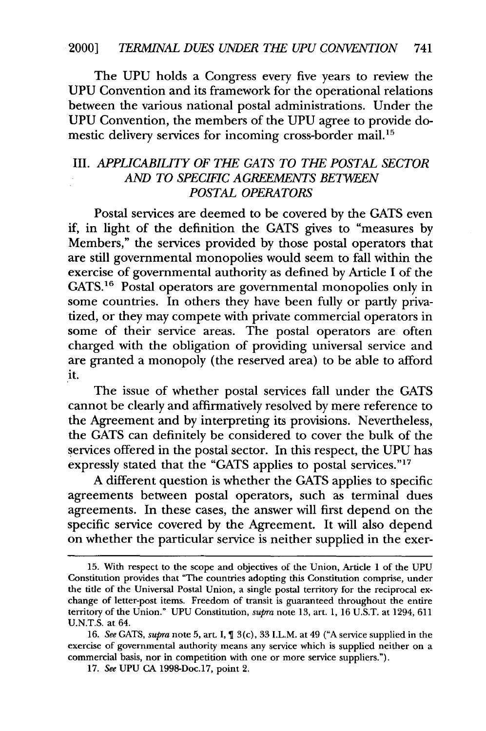The UPU holds a Congress every five years to review the UPU Convention and its framework for the operational relations between the various national postal administrations. Under the UPU Convention, the members of the UPU agree to provide domestic delivery services for incoming cross-border mail.<sup>15</sup>

### III. *APPLICABILITY OF THE GATS TO THE POSTAL SECTOR AND TO SPECIFIC AGREEMENTS BETWEEN POSTAL OPERATORS*

Postal services are deemed to be covered by the GATS even if, in light of the definition the GATS gives to "measures by Members," the services provided by those postal operators that are still governmental monopolies would seem to fall within the exercise of governmental authority as defined by Article I of the GATS.16 Postal operators are governmental monopolies only in some countries. In others they have been fully or partly privatized, or they may compete with private commercial operators in some of their service areas. The postal operators are often charged with the obligation of providing universal service and are granted a monopoly (the reserved area) to be able to afford it.

The issue of whether postal services fall under the GATS cannot be clearly and affirmatively resolved by mere reference to the Agreement and by interpreting its provisions. Nevertheless, the GATS can definitely be considered to cover the bulk of the services offered in the postal sector. In this respect, the UPU has expressly stated that the "GATS applies to postal services."17

A different question is whether the GATS applies to specific agreements between postal operators, such as terminal dues agreements. In these cases, the answer will first depend on the specific service covered by the Agreement. It will also depend on whether the particular service is neither supplied in the exer-

<sup>15.</sup> With respect to the scope and objectives of the Union, Article 1 of the UPU Constitution provides that "The countries adopting this Constitution comprise, under the title of the Universal Postal Union, a single postal territory for the reciprocal exchange of letter-post items. Freedom of transit is guaranteed throughout the entire territory of the Union." UPU Constitution, *supra* note 13, art. 1, 16 U.S.T. at 1294, 611 U.N.T.S. at 64.

<sup>16.</sup> *See* GATS, *supra* note 5, art. I, 3(c), 33 I.L.M. at 49 ("A service supplied in the exercise of governmental authority means any service which is supplied neither on a commercial basis, nor in competition with one or more service suppliers.").

<sup>17.</sup> *See* UPU CA 1998-Doc.17, point 2.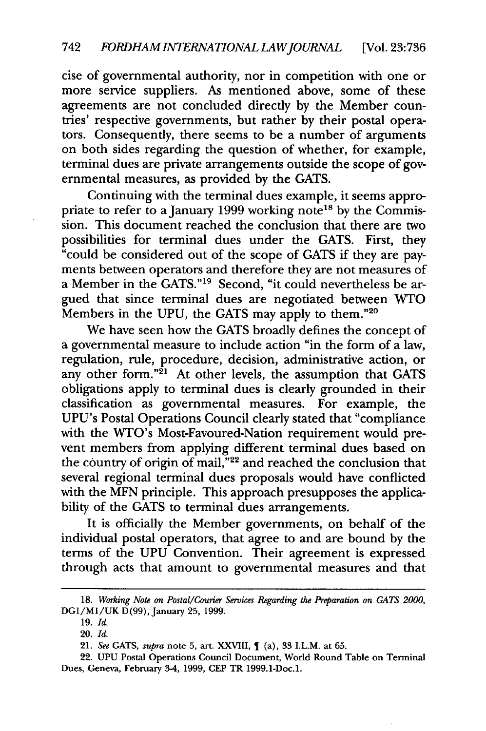cise of governmental authority, nor in competition with one or more service suppliers. As mentioned above, some of these agreements are not concluded directly by the Member countries' respective governments, but rather by their postal operators. Consequently, there seems to be a number of arguments on both sides regarding the question of whether, for example, terminal dues are private arrangements outside the scope of governmental measures, as provided by the GATS.

Continuing with the terminal dues example, it seems appropriate to refer to a January 1999 working note<sup>18</sup> by the Commission. This document reached the conclusion that there are two possibilities for terminal dues under the GATS. First, they "could be considered out of the scope of GATS if they are payments between operators and therefore they are not measures of a Member in the GATS.""9 Second, "it could nevertheless be argued that since terminal dues are negotiated between WTO Members in the UPU, the GATS may apply to them."20

We have seen how the GATS broadly defines the concept of a governmental measure to include action "in the form of a law, regulation, rule, procedure, decision, administrative action, or any other form."<sup>21</sup> At other levels, the assumption that GATS obligations apply to terminal dues is clearly grounded in their classification as governmental measures. For example, the UPU's Postal Operations Council clearly stated that "compliance with the WTO's Most-Favoured-Nation requirement would prevent members from applying different terminal dues based on the country of origin of mail,  $\frac{1}{2}$  and reached the conclusion that several regional terminal dues proposals would have conflicted with the MFN principle. This approach presupposes the applicability of the GATS to terminal dues arrangements.

It is officially the Member governments, on behalf of the individual postal operators, that agree to and are bound by the terms of the UPU Convention. Their agreement is expressed through acts that amount to governmental measures and that

**<sup>18.</sup>** *Working Note on Postal/Courier Services Regarding the Preparation on GATS 2000,* DG1/M1/UK D(99), January 25, 1999.

<sup>19.</sup> *Id.*

<sup>20.</sup> *Id.*

*<sup>21.</sup> See* GATS, *supra* note **5,** art. XXVIII, (a), 33 I.L.M. at 65.

<sup>22.</sup> UPU Postal Operations Council Document, World Round Table on Terminal Dues, Geneva, February 3-4, 1999, **CEP** TR 1999.1-Doc.1.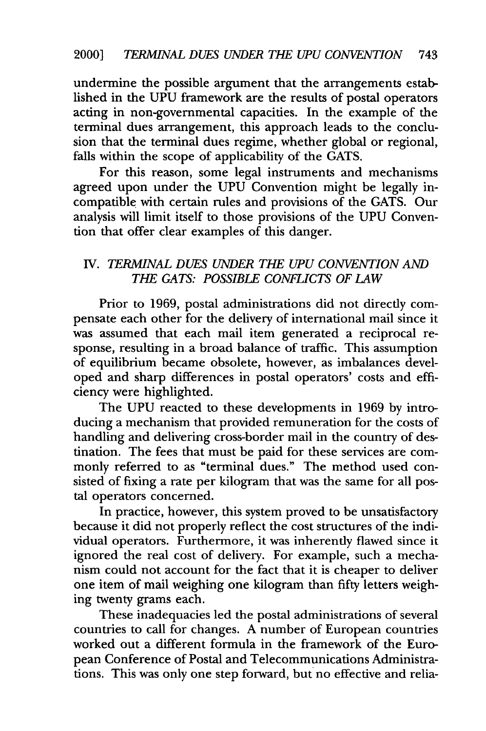undermine the possible argument that the arrangements established in the **UPU** framework are the results of postal operators acting in non-governmental capacities. In the example of the terminal dues arrangement, this approach leads to the conclusion that the terminal dues regime, whether global or regional, falls within the scope of applicability of the **GATS.**

For this reason, some legal instruments and mechanisms agreed upon under the **UPU** Convention might be legally incompatible with certain rules and provisions of the **GATS.** Our analysis will limit itself to those provisions of the **UPU** Convention that offer clear examples of this danger.

### **IV.** *TERMINAL DUES UNDER THE UPU CONVENTION* **AN** *THE GATS: POSSIBLE CONFLICTS OF LAW*

Prior to **1969,** postal administrations did not directly compensate each other for the delivery of international mail since it was assumed that each mail item generated a reciprocal response, resulting in a broad balance of traffic. This assumption of equilibrium became obsolete, however, as imbalances developed and sharp differences in postal operators' costs and efficiency were highlighted.

The **UPU** reacted to these developments in **1969 by** introducing a mechanism that provided remuneration for the costs of handling and delivering cross-border mail in the country of destination. The fees that must be paid for these services are commonly referred to as "terminal dues." The method used consisted of fixing a rate per kilogram that was the same for all postal operators concerned.

In practice, however, this system proved to be unsatisfactory because it did not properly reflect the cost structures of the individual operators. Furthermore, it was inherently flawed since it ignored the real cost of delivery. For example, such a mechanism could not account for the fact that it is cheaper to deliver one item of mail weighing one kilogram than fifty letters weighing twenty grams each.

These inadequacies led the postal administrations of several countries to call for changes. **A** number of European countries worked out a different formula in the framework of the European Conference of Postal and Telecommunications Administrations. This was only one step forward, but no effective and relia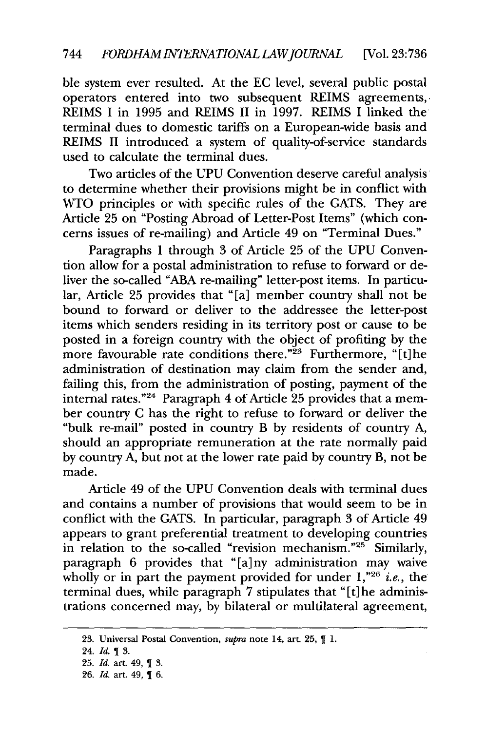ble system ever resulted. At the EC level, several public postal operators entered into two subsequent REIMS agreements, REIMS I in 1995 and REIMS II in 1997. REIMS I linked the terminal dues to domestic tariffs on a European-wide basis and REIMS II introduced a system of quality-of-service standards used to calculate the terminal dues.

Two articles of the UPU Convention deserve careful analysis to determine whether their provisions might be in conflict with WTO principles or with specific rules of the GATS. They are Article 25 on "Posting Abroad of Letter-Post Items" (which concerns issues of re-mailing) and Article 49 on "Terminal Dues."

Paragraphs 1 through 3 of Article 25 of the UPU Convention allow for a postal administration to refuse to forward or deliver the so-called "ABA re-mailing" letter-post items. In particular, Article 25 provides that "[a] member country shall not be bound to forward or deliver to the addressee the letter-post items which senders residing in its territory post or cause to be posted in a foreign country with the object of profiting by the more favourable rate conditions there."<sup>23</sup> Furthermore, "[t]he administration of destination may claim from the sender and, failing this, from the administration of posting, payment of the internal rates."24 Paragraph 4 of Article 25 provides that a member country C has the right to refuse to forward or deliver the "bulk re-mail" posted in country B by residents of country A, should an appropriate remuneration at the rate normally paid by country A, but not at the lower rate paid by country B, not be made.

Article 49 of the UPU Convention deals with terminal dues and contains a number of provisions that would seem to be in conflict with the GATS. In particular, paragraph 3 of Article 49 appears to grant preferential treatment to developing countries in relation to the so-called "revision mechanism."<sup>25</sup> Similarly, paragraph 6 provides that "[a] ny administration may waive wholly or in part the payment provided for under 1,<sup>"26</sup> *i.e.*, the terminal dues, while paragraph 7 stipulates that "[t] he administrations concerned may, by bilateral or multilateral agreement,

<sup>23.</sup> Universal Postal Convention, *supra* note 14, art. 25,  $\P$  1.

<sup>24.</sup> Id. 1 3.

<sup>25.</sup> *Id.* art. 49, 1 3.

<sup>26.</sup> *Id.* art. 49, 1 6.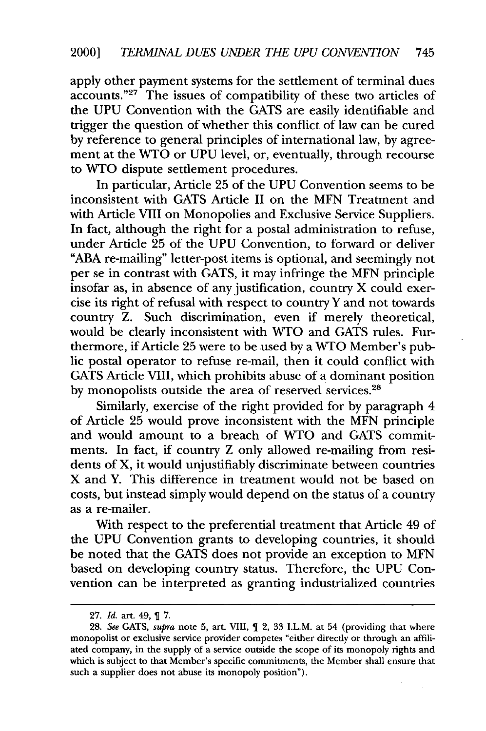apply other payment systems for the settlement of terminal dues accounts."<sup>27</sup> The issues of compatibility of these two articles of the UPU Convention with the GATS are easily identifiable and trigger the question of whether this conflict of law can be cured by reference to general principles of international law, by agreement at the WTO or UPU level, or, eventually, through recourse to WTO dispute settlement procedures.

In particular, Article 25 of the UPU Convention seems to be inconsistent with GATS Article II on the MFN Treatment and with Article VIII on Monopolies and Exclusive Service Suppliers. In fact, although the right for a postal administration to refuse, under Article 25 of the UPU Convention, to forward or deliver **"ABA** re-mailing" letter-post items is optional, and seemingly not per se in contrast with GATS, it may infringe the MFN principle insofar as, in absence of any justification, country X could exercise its right of refusal with respect to country Y and not towards country Z. Such discrimination, even if merely theoretical, would be clearly inconsistent with WTO and GATS rules. Furthermore, if Article 25 were to be used by a WTO Member's public postal operator to refuse re-mail, then it could conflict with GATS Article VIII, which prohibits abuse of **a** dominant position by monopolists outside the area of reserved services.<sup>28</sup>

Similarly, exercise of the right provided for by paragraph 4 of Article 25 would prove inconsistent with the MFN principle and would amount to a breach of WTO and GATS commitments. In fact, if country Z only allowed re-mailing from residents of X, it would unjustifiably discriminate between countries X and Y. This difference in treatment would not be based on costs, but instead simply would depend on the status of a country as a re-mailer.

With respect to the preferential treatment that Article 49 of the UPU Convention grants to developing countries, it should be noted that the GATS does not provide an exception to MFN based on developing country status. Therefore, the UPU Convention can be interpreted as granting industrialized countries

<sup>27.</sup> *Id.* art. 49, 7.

<sup>28.</sup> *See* GATS, *supra* note 5, art. VIII, 2, 33 I.L.M. at 54 (providing that where monopolist or exclusive service provider competes "either directly or through an affiliated company, in the supply of a service outside the scope of its monopoly rights and which is subject to that Member's specific commitments, the Member shall ensure that such a supplier does not abuse its monopoly position").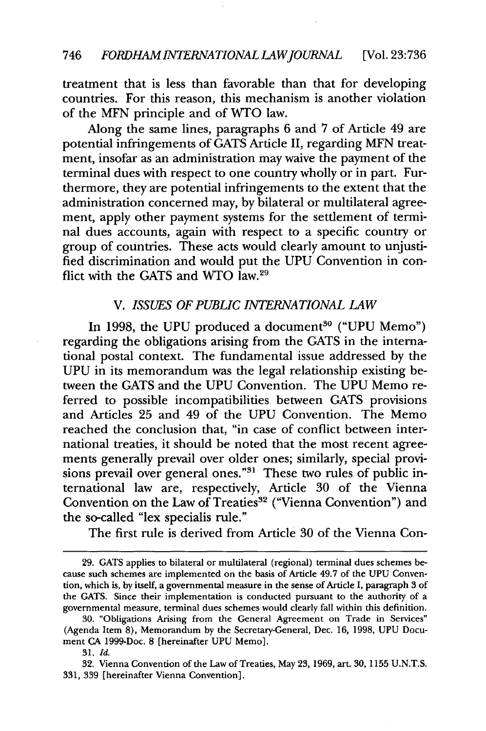treatment that is less than favorable than that for developing countries. For this reason, this mechanism is another violation of the MFN principle and of WTO law.

Along the same lines, paragraphs 6 and 7 of Article 49 are potential infringements of GATS Article II, regarding MFN treatment, insofar as an administration may waive the payment of the terminal dues with respect to one country wholly or in part. Furthermore, they are potential infringements to the extent that the administration concerned may, by bilateral or multilateral agreement, apply other payment systems for the settlement of terminal dues accounts, again with respect to a specific country or group of countries. These acts would clearly amount to unjustified discrimination and would put the UPU Convention in conflict with the GATS and WTO law.<sup>29</sup>

#### *V. ISSUES OF PUBLIC INTERNATIONAL LAW*

In 1998, the UPU produced a document<sup>30</sup> ("UPU Memo") regarding the obligations arising from the GATS in the international postal context. The fundamental issue addressed by the UPU in its memorandum was the legal relationship existing between the GATS and the UPU Convention. The UPU Memo referred to possible incompatibilities between GATS provisions and Articles 25 and 49 of the UPU Convention. The Memo reached the conclusion that, "in case of conflict between international treaties, it should be noted that the most recent agreements generally prevail over older ones; similarly, special provisions prevail over general ones."<sup>31</sup> These two rules of public international law are, respectively, Article 30 of the Vienna Convention on the Law of Treaties<sup>32</sup> ("Vienna Convention") and the so-called "lex specialis rule."

The first rule is derived from Article 30 of the Vienna Con-

<sup>29.</sup> GATS applies to bilateral or multilateral (regional) terminal dues schemes be- cause such schemes are implemented on the basis of Article 49.7 of the UPU Convention, which is, **by** itself, a governmental measure in the sense of Article I, paragraph 3 of the **GATS.** Since their implementation is conducted pursuant to the authority of a governmental measure, terminal dues schemes would clearly fall within this definition.

**<sup>30.</sup>** "Obligations Arising from the General Agreement on Trade in Services" (Agenda Item **8),** Memorandum **by** the Secretary-General, Dec. **16, 1998, UPU** Document **CA** 1999-Doc. **8** [hereinafter **UPU** Memo].

**<sup>31.</sup>** *Id.*

**<sup>32.</sup>** Vienna Convention of the Law of Treaties, May **23, 1969,** art. **30, 1155 U.N.T.S. 331, 339** [hereinafter Vienna Convention].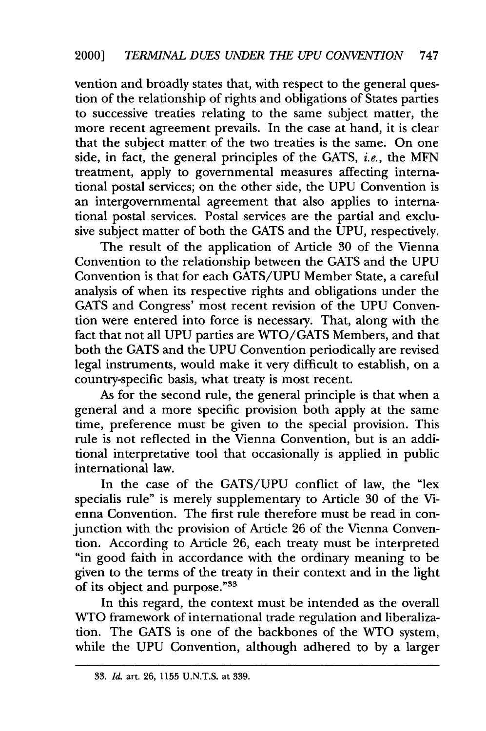vention and broadly states that, with respect to the general question of the relationship of rights and obligations of States parties to successive treaties relating to the same subject matter, the more recent agreement prevails. In the case at hand, it is clear that the subject matter of the two treaties is the same. On one side, in fact, the general principles of the **GATS,** i.e., the **MFN** treatment, apply to governmental measures affecting international postal services; on the other side, the **UPU** Convention is an intergovernmental agreement that also applies to international postal services. Postal services are the partial and exclusive subject matter of both the **GATS** and the **UPU,** respectively.

The result of the application of Article **30** of the Vienna Convention to the relationship between the **GATS** and the **UPU** Convention is that for each **GATS/UPU** Member State, a careful analysis of when its respective rights and obligations under the **GATS** and Congress' most recent revision of the **UPU** Convention were entered into force is necessary. That, along with the fact that not all **UPU** parties are **WTO/GATS** Members, and that both the **GATS** and the **UPU** Convention periodically are revised legal instruments, would make it very difficult to establish, on a country-specific basis, what treaty is most recent.

As for the second rule, the general principle is that when a general and a more specific provision both apply at the same time, preference must be given to the special provision. This rule is not reflected in the Vienna Convention, but is an additional interpretative tool that occasionally is applied in public international law.

In the case of the **GATS/UPU** conflict of law, the "lex specialis rule" is merely supplementary to Article **30** of the Vienna Convention. The first rule therefore must be read in conjunction with the provision of Article 26 of the Vienna Convention. According to Article 26, each treaty must be interpreted "in good faith in accordance with the ordinary meaning to be given to the terms of the treaty in their context and in the light of its object and purpose."<sup>33</sup>

In this regard, the context must be intended as the overall WTO framework of international trade regulation and liberalization. The GATS is one of the backbones of the WTO system, while the UPU Convention, although adhered to by a larger

<sup>33.</sup> *Id.* art. 26, 1155 **U.N.T.S.** at 339.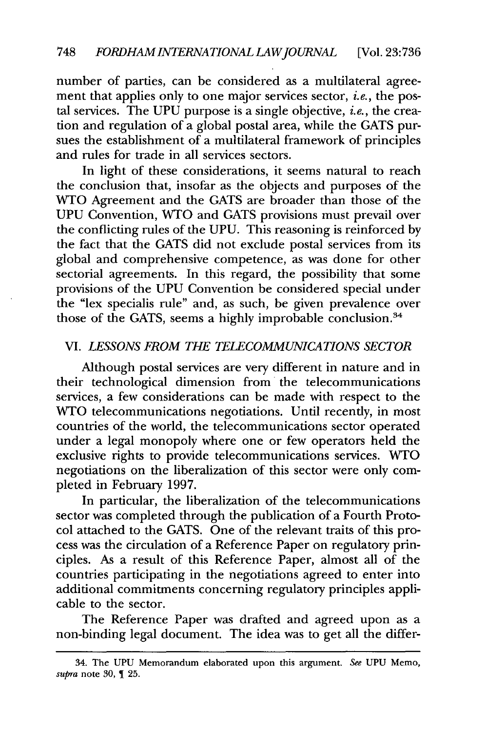number of parties, can be considered as a multilateral agreement that applies only to one major services sector, *i.e.,* the postal services. The UPU purpose is a single objective, *i.e.,* the creation and regulation of a global postal area, while the GATS pursues the establishment of a multilateral framework of principles and rules for trade in all services sectors.

In light of these considerations, it seems natural to reach the conclusion that, insofar as the objects and purposes of the WTO Agreement and the GATS are broader than those of the UPU Convention, WTO and GATS provisions must prevail over the conflicting rules of the UPU. This reasoning is reinforced by the fact that the GATS did not exclude postal services from its global and comprehensive competence, as was done for other sectorial agreements. In this regard, the possibility that some provisions of the UPU Convention be considered special under the "lex specialis rule" and, as such, be given prevalence over those of the GATS, seems a highly improbable conclusion.<sup>34</sup>

#### *VI. LESSONS FROM THE TELECOMMUNICATIONS SECTOR*

Although postal services are very different in nature and in their technological dimension from the telecommunications services, a few considerations can be made with respect to the WTO telecommunications negotiations. Until recently, in most countries of the world, the telecommunications sector operated under a legal monopoly where one or few operators held the exclusive rights to provide telecommunications services. **WTO** negotiations on the liberalization of this sector were only completed in February 1997.

In particular, the liberalization of the telecommunications sector was completed through the publication of a Fourth Protocol attached to the GATS. One of the relevant traits of this process was the circulation of a Reference Paper on regulatory principles. As a result of this Reference Paper, almost all of the countries participating in the negotiations agreed to enter into additional commitments concerning regulatory principles applicable to the sector.

The Reference Paper was drafted and agreed upon as a non-binding legal document. The idea was to get all the differ-

<sup>34.</sup> The UPU Memorandum elaborated upon this argument. *See* UPU Memo, *supra* note 30, 1 25.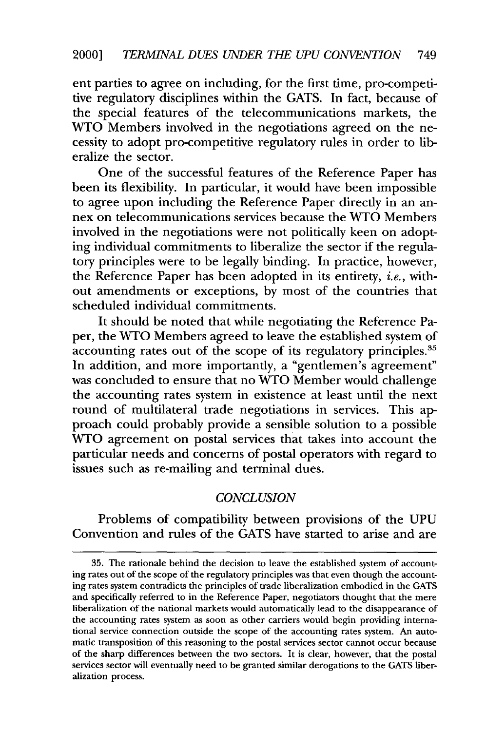ent parties to agree on including, for the first time, pro-competitive regulatory disciplines within the GATS. In fact, because of the special features of the telecommunications markets, the WTO Members involved in the negotiations agreed on the necessity to adopt pro-competitive regulatory rules in order to liberalize the sector.

One of the successful features of the Reference Paper has been its flexibility. In particular, it would have been impossible to agree upon including the Reference Paper directly in an annex on telecommunications services because the WTO Members involved in the negotiations were not politically keen on adopting individual commitments to liberalize the sector if the regulatory principles were to be legally binding. In practice, however, the Reference Paper has been adopted in its entirety, *i.e.,* without amendments or exceptions, by most of the countries that scheduled individual commitments.

It should be noted that while negotiating the Reference Paper, the WTO Members agreed to leave the established system of accounting rates out of the scope of its regulatory principles.<sup>35</sup> In addition, and more importantly, a "gentlemen's agreement" was concluded to ensure that no WTO Member would challenge the accounting rates system in existence at least until the next round of multilateral trade negotiations in services. This approach could probably provide a sensible solution to a possible WTO agreement on postal services that takes into account the particular needs and concerns of postal operators with regard to issues such as re-mailing and terminal dues.

#### *CONCLUSION*

Problems of compatibility between provisions of the UPU Convention and rules of the GATS have started to arise and are

**<sup>35.</sup>** The rationale behind the decision to leave the established system of accounting rates **out of** the scope of the regulatory principles was that even though the accounting rates system contradicts the principles of trade liberalization embodied in the **GATS** and specifically referred to in the Reference Paper, negotiators thought that the mere liberalization of the national markets would automatically lead to the disappearance of the accounting rates system as soon as other carriers would begin providing international service connection outside the scope of the accounting rates system. An automatic transposition of this reasoning to the postal services sector cannot occur because of the sharp differences between the two sectors. It is clear, however, that the postal services sector will eventually need to be granted similar derogations to the GATS liberalization process.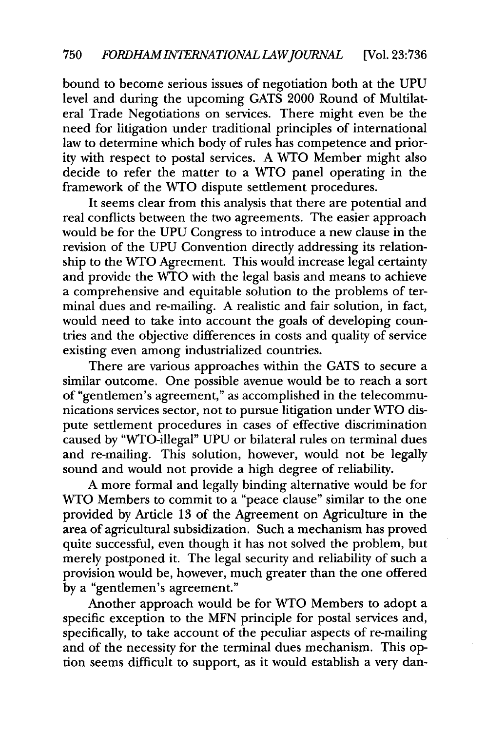bound to become serious issues of negotiation both at the UPU level and during the upcoming GATS 2000 Round of Multilateral Trade Negotiations on services. There might even be the need for litigation under traditional principles of international law to determine which body of rules has competence and priority with respect to postal services. A WTO Member might also decide to refer the matter to a WTO panel operating in the framework of the WTO dispute settlement procedures.

It seems clear from this analysis that there are potential and real conflicts between the two agreements. The easier approach would be for the UPU Congress to introduce a new clause in the revision of the UPU Convention directly addressing its relationship to the WTO Agreement. This would increase legal certainty and provide the WTO with the legal basis and means to achieve a comprehensive and equitable solution to the problems of terminal dues and re-mailing. A realistic and fair solution, in fact, would need to take into account the goals of developing countries and the objective differences in costs and quality of service existing even among industrialized countries.

There are various approaches within the GATS to secure a similar outcome. One possible avenue would be to reach a sort of "gentlemen's agreement," as accomplished in the telecommunications services sector, not to pursue litigation under **WTO** dispute settlement procedures in cases of effective discrimination caused by "WTO-illegal" UPU or bilateral rules on terminal dues and re-mailing. This solution, however, would not be legally sound and would not provide a high degree of reliability.

A more formal and legally binding alternative would be for WTO Members to commit to a "peace clause" similar to the one provided by Article 13 of the Agreement on Agriculture in the area of agricultural subsidization. Such a mechanism has proved quite successful, even though it has not solved the problem, but merely postponed it. The legal security and reliability of such a provision would be, however, much greater than the one offered by a "gentlemen's agreement."

Another approach would be for WTO Members to adopt a specific exception to the MFN principle for postal services and, specifically, to take account of the peculiar aspects of re-mailing and of the necessity for the terminal dues mechanism. This option seems difficult to support, as it would establish a very dan